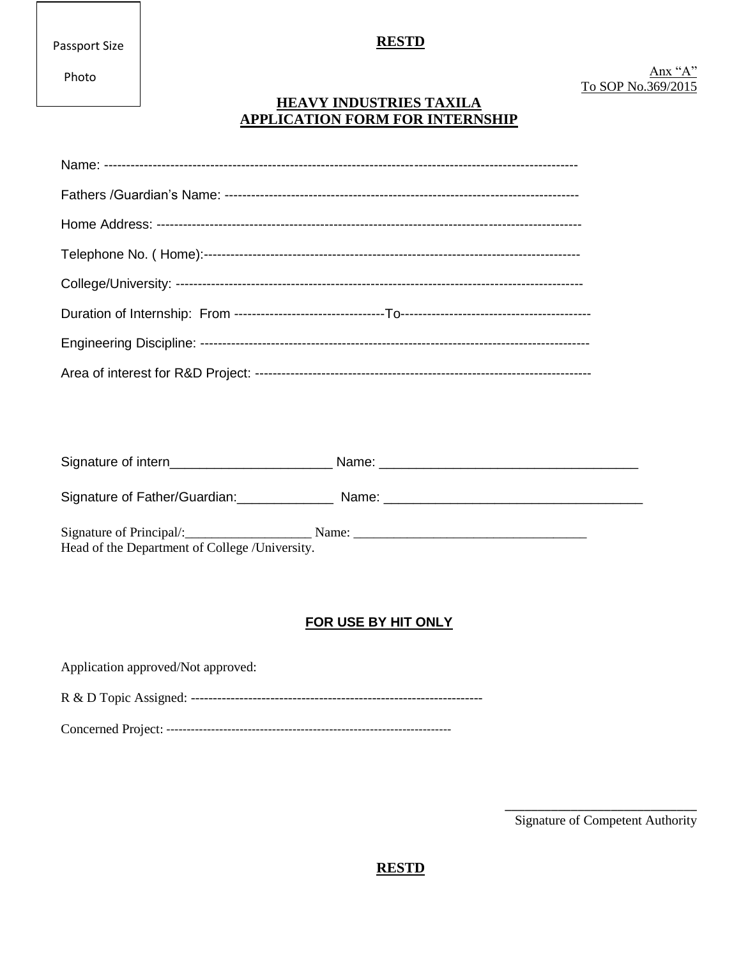Passport Size

Photo

Anx "A" To SOP No.369/2015

### **HEAVY INDUSTRIES TAXILA APPLICATION FORM FOR INTERNSHIP**

Signature of Father/Guardian: Mame: Mame: Mame: Mame: Mame: Mame: Manual Manual Manual Manual Manual Manual Ma

Signature of Principal/: Head of the Department of College /University.

### **FOR USE BY HIT ONLY**

Application approved/Not approved: 

**Signature of Competent Authority**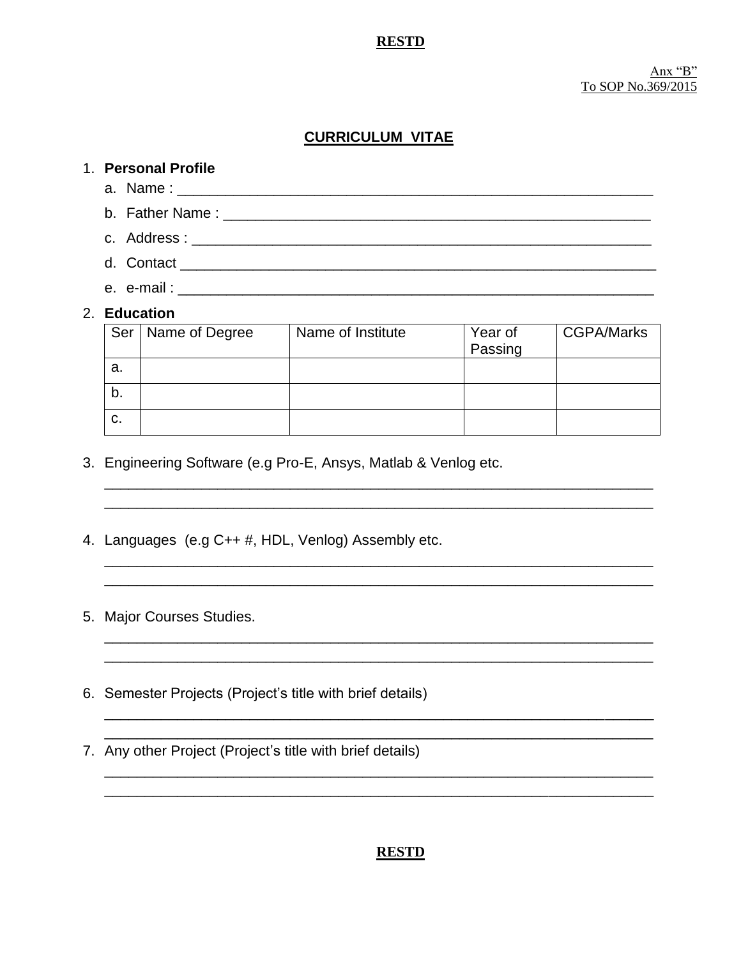### **CURRICULUM VITAE**

### 1. Personal Profile

- a. Name: 1000 million and 2000 million and 2000 million and 2000 million and 2000 million and 2000 million and 2000 million and 2000 million and 2000 million and 2000 million and 2000 million and 2000 million and 2000 mill b. Father Name: We have a state of the state of the state of the state of the state of the state of the state of the state of the state of the state of the state of the state of the state of the state of the state of the s
- e. e-mail: will be a series of the contract of the contract of the contract of the contract of the contract of the contract of the contract of the contract of the contract of the contract of the contract of the contract of

### 2. Education

| Ser | Name of Degree | Name of Institute | Year of<br>Passing | <b>CGPA/Marks</b> |
|-----|----------------|-------------------|--------------------|-------------------|
|     |                |                   |                    |                   |
| a.  |                |                   |                    |                   |
|     |                |                   |                    |                   |
| b.  |                |                   |                    |                   |
|     |                |                   |                    |                   |
| c.  |                |                   |                    |                   |

- 3. Engineering Software (e.g Pro-E, Ansys, Matlab & Venlog etc.
- 4. Languages (e.g C++ #, HDL, Venlog) Assembly etc.
- 5. Major Courses Studies.
- 6. Semester Projects (Project's title with brief details)
- 7. Any other Project (Project's title with brief details)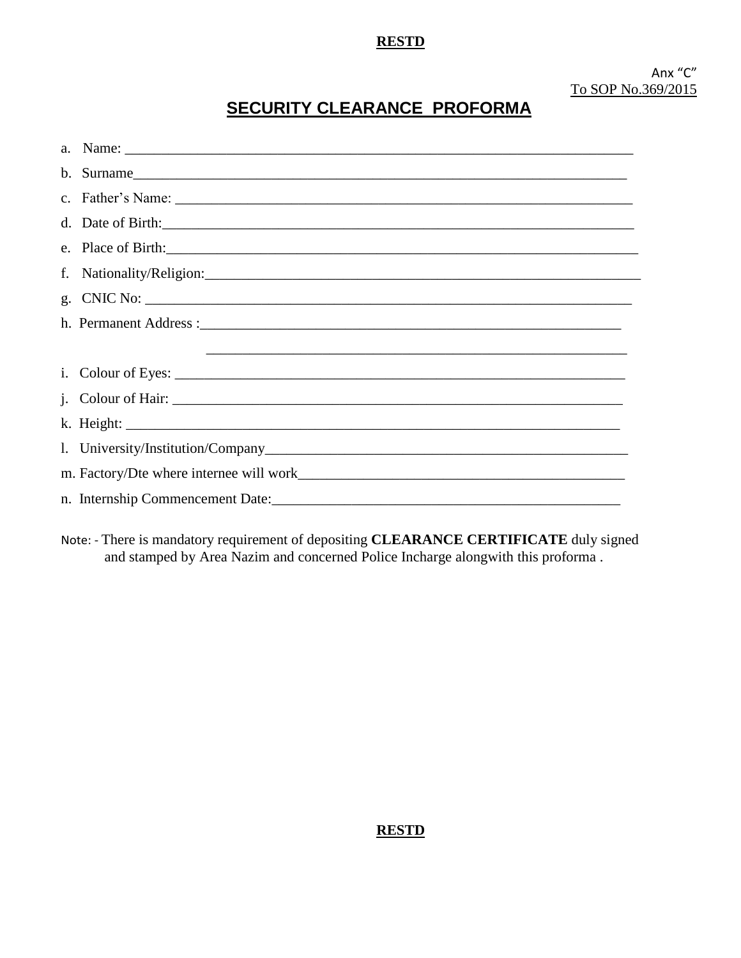# **SECURITY CLEARANCE PROFORMA**

| b. Surname        |
|-------------------|
|                   |
| d. Date of Birth: |
|                   |
|                   |
|                   |
|                   |
|                   |
|                   |
|                   |
|                   |
|                   |
|                   |
|                   |

Note: - There is mandatory requirement of depositing **CLEARANCE CERTIFICATE** duly signed and stamped by Area Nazim and concerned Police Incharge alongwith this proforma .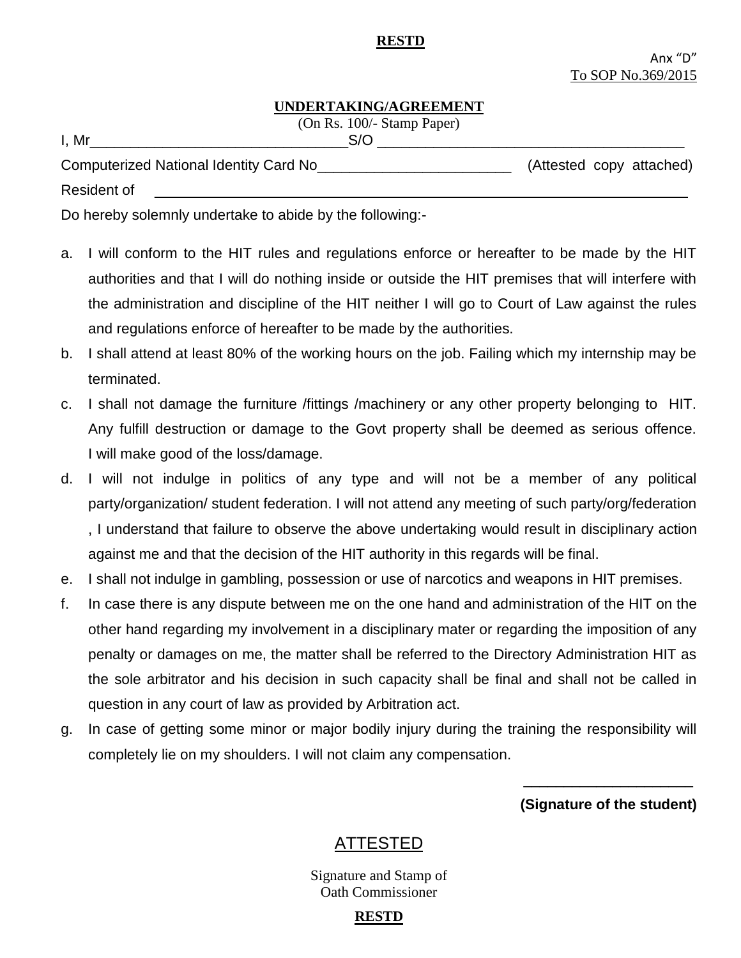### **UNDERTAKING/AGREEMENT**

(On Rs. 100/- Stamp Paper)

I, Mr\_\_\_\_\_\_\_\_\_\_\_\_\_\_\_\_\_\_\_\_\_\_\_\_\_\_\_\_\_\_\_\_S/O \_\_\_\_\_\_\_\_\_\_\_\_\_\_\_\_\_\_\_\_\_\_\_\_\_\_\_\_\_\_\_\_\_\_\_\_\_\_**.**

| Computerized National Identity Card No |  | (Attested copy attached) |
|----------------------------------------|--|--------------------------|
| Resident of                            |  |                          |

Do hereby solemnly undertake to abide by the following:-

- a. I will conform to the HIT rules and regulations enforce or hereafter to be made by the HIT authorities and that I will do nothing inside or outside the HIT premises that will interfere with the administration and discipline of the HIT neither I will go to Court of Law against the rules and regulations enforce of hereafter to be made by the authorities.
- b. I shall attend at least 80% of the working hours on the job. Failing which my internship may be terminated.
- c. I shall not damage the furniture /fittings /machinery or any other property belonging to HIT. Any fulfill destruction or damage to the Govt property shall be deemed as serious offence. I will make good of the loss/damage.
- d. I will not indulge in politics of any type and will not be a member of any political party/organization/ student federation. I will not attend any meeting of such party/org/federation , I understand that failure to observe the above undertaking would result in disciplinary action against me and that the decision of the HIT authority in this regards will be final.
- e. I shall not indulge in gambling, possession or use of narcotics and weapons in HIT premises.
- f. In case there is any dispute between me on the one hand and administration of the HIT on the other hand regarding my involvement in a disciplinary mater or regarding the imposition of any penalty or damages on me, the matter shall be referred to the Directory Administration HIT as the sole arbitrator and his decision in such capacity shall be final and shall not be called in question in any court of law as provided by Arbitration act.
- g. In case of getting some minor or major bodily injury during the training the responsibility will completely lie on my shoulders. I will not claim any compensation.

 $\overline{\phantom{a}}$  , and the contract of the contract of the contract of the contract of the contract of the contract of the contract of the contract of the contract of the contract of the contract of the contract of the contrac

**(Signature of the student)**

# ATTESTED

Signature and Stamp of Oath Commissioner